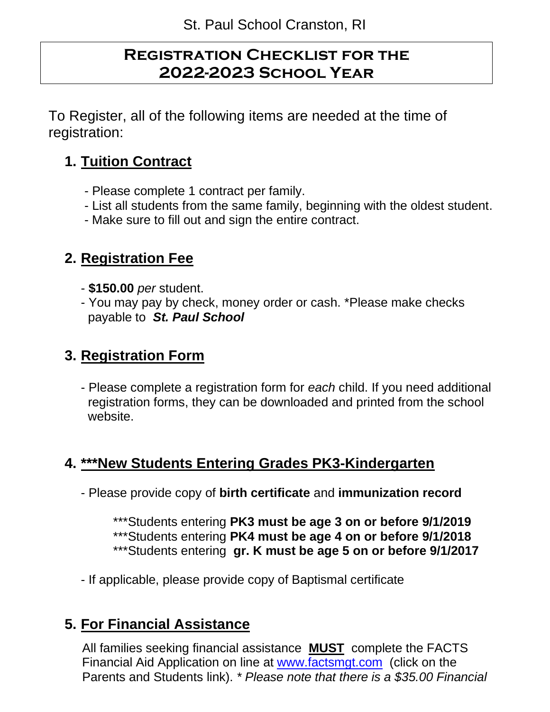## **Registration Checklist for the 2022-2023 School Year**

To Register, all of the following items are needed at the time of registration:

# **1. Tuition Contract**

- Please complete 1 contract per family.
- List all students from the same family, beginning with the oldest student.
- Make sure to fill out and sign the entire contract.

### **2. Registration Fee**

- **\$150.00** *per* student.
- You may pay by check, money order or cash. \*Please make checks payable to *St. Paul School*

### **3. Registration Form**

- Please complete a registration form for *each* child. If you need additional registration forms, they can be downloaded and printed from the school website.

# **4. \*\*\*New Students Entering Grades PK3-Kindergarten**

- Please provide copy of **birth certificate** and **immunization record**

\*\*\*Students entering **PK3 must be age 3 on or before 9/1/2019** \*\*\*Students entering **PK4 must be age 4 on or before 9/1/2018** \*\*\*Students entering **gr. K must be age 5 on or before 9/1/2017**

- If applicable, please provide copy of Baptismal certificate

# **5. For Financial Assistance**

 All families seeking financial assistance **MUST** complete the FACTS Financial Aid Application on line at [www.factsmgt.com](http://www.factsmgt.com/) (click on the Parents and Students link). *\* Please note that there is a \$35.00 Financial*